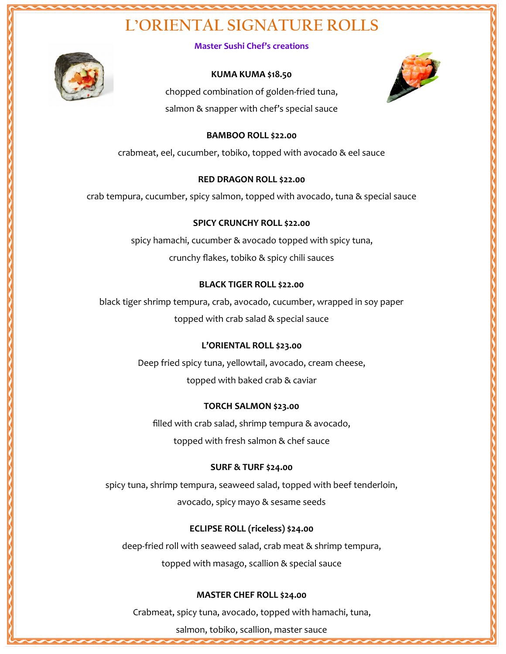### **L'ORIENTAL SIGNATURE ROLLS**



**Master Sushi Chef's creations**

#### **KUMA KUMA \$18.50**



chopped combination of golden-fried tuna, salmon & snapper with chef's special sauce

#### **BAMBOO ROLL \$22.00**

crabmeat, eel, cucumber, tobiko, topped with avocado & eel sauce

#### **RED DRAGON ROLL \$22.00**

crab tempura, cucumber, spicy salmon, topped with avocado, tuna & special sauce

#### **SPICY CRUNCHY ROLL \$22.00**

spicy hamachi, cucumber & avocado topped with spicy tuna, crunchy flakes, tobiko & spicy chili sauces

#### **BLACK TIGER ROLL \$22.00**

black tiger shrimp tempura, crab, avocado, cucumber, wrapped in soy paper topped with crab salad & special sauce

### **L'ORIENTAL ROLL \$23.00**

Deep fried spicy tuna, yellowtail, avocado, cream cheese, topped with baked crab & caviar

#### **TORCH SALMON \$23.00**

filled with crab salad, shrimp tempura & avocado, topped with fresh salmon & chef sauce

### **SURF & TURF \$24.00**

spicy tuna, shrimp tempura, seaweed salad, topped with beef tenderloin, avocado, spicy mayo & sesame seeds

### **ECLIPSE ROLL (riceless) \$24.00**

deep-fried roll with seaweed salad, crab meat & shrimp tempura,

topped with masago, scallion & special sauce

#### **MASTER CHEF ROLL \$24.00**

Crabmeat, spicy tuna, avocado, topped with hamachi, tuna,

salmon, tobiko, scallion, master sauce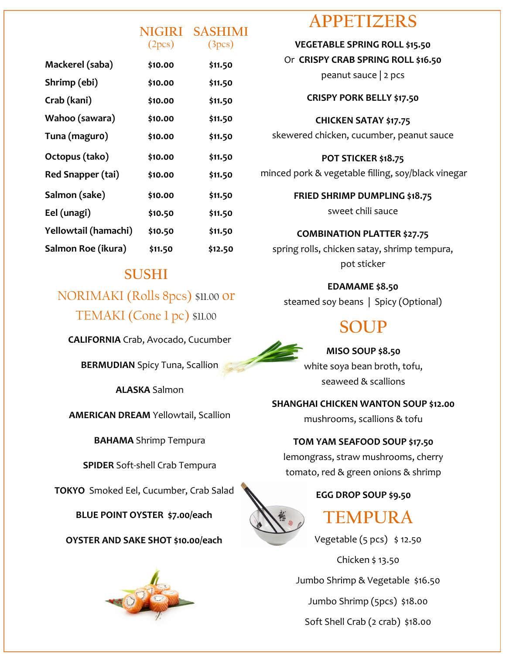|                      | <b>NIGIRI</b><br>(2 <sub>pcs</sub> ) | <b>SASHIMI</b><br>(3 <sub>pcs</sub> ) |
|----------------------|--------------------------------------|---------------------------------------|
| Mackerel (saba)      | \$10.00                              | \$11.50                               |
| Shrimp (ebi)         | \$10.00                              | \$11.50                               |
| Crab (kani)          | \$10.00                              | \$11.50                               |
| Wahoo (sawara)       | \$10.00                              | \$11.50                               |
| Tuna (maguro)        | \$10.00                              | \$11.50                               |
| Octopus (tako)       | \$10.00                              | \$11.50                               |
| Red Snapper (tai)    | \$10.00                              | \$11.50                               |
| Salmon (sake)        | \$10.00                              | \$11.50                               |
| Eel (unagi)          | \$10.50                              | \$11.50                               |
| Yellowtail (hamachi) | \$10.50                              | \$11.50                               |
| Salmon Roe (ikura)   | \$11.50                              | \$12.50                               |
|                      |                                      |                                       |

### **SUSHI**

NORIMAKI (Rolls 8pcs) \$11.00 or TEMAKI (Cone 1 pc) \$11.00

**CALIFORNIA** Crab, Avocado, Cucumber

**BERMUDIAN** Spicy Tuna, Scallion

**ALASKA** Salmon

**AMERICAN DREAM** Yellowtail, Scallion

**BAHAMA** Shrimp Tempura

**SPIDER** Soft-shell Crab Tempura

**TOKYO** Smoked Eel, Cucumber, Crab Salad

**BLUE POINT OYSTER \$7.00/each**

**OYSTER AND SAKE SHOT \$10.00/each**



### **APPETIZERS**

**VEGETABLE SPRING ROLL \$15.50** Or **CRISPY CRAB SPRING ROLL \$16.50**

peanut sauce | 2 pcs

### **CRISPY PORK BELLY \$17.50**

### **CHICKEN SATAY \$17.75**

skewered chicken, cucumber, peanut sauce

**POT STICKER \$18.75** minced pork & vegetable filling, soy/black vinegar

> **FRIED SHRIMP DUMPLING \$18.75** sweet chili sauce

**COMBINATION PLATTER \$27.75** spring rolls, chicken satay, shrimp tempura, pot sticker

**EDAMAME \$8.50**

steamed soy beans | Spicy (Optional)

# **SOUP**



**MISO SOUP \$8.50** white soya bean broth, tofu, seaweed & scallions

**SHANGHAI CHICKEN WANTON SOUP \$12.00**

mushrooms, scallions & tofu

### **TOM YAM SEAFOOD SOUP \$17.50**

lemongrass, straw mushrooms, cherry tomato, red & green onions & shrimp

### **EGG DROP SOUP \$9.50**



## **TEMPURA**

Vegetable (5 pcs) \$ 12.50

Chicken \$ 13.50

Jumbo Shrimp & Vegetable \$16.50

Jumbo Shrimp (5pcs) \$18.00

Soft Shell Crab (2 crab) \$18.00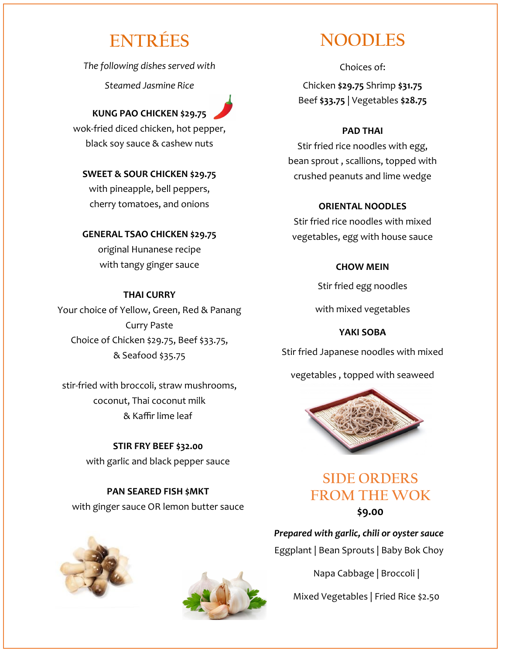### **ENTRÉES**

*The following dishes served with* 

*Steamed Jasmine Rice*

**KUNG PAO CHICKEN \$29.75** wok-fried diced chicken, hot pepper, black soy sauce & cashew nuts

**SWEET & SOUR CHICKEN \$29.75** with pineapple, bell peppers, cherry tomatoes, and onions

### **GENERAL TSAO CHICKEN \$29.75** original Hunanese recipe

with tangy ginger sauce

### **THAI CURRY**

Your choice of Yellow, Green, Red & Panang Curry Paste Choice of Chicken \$29.75, Beef \$33.75, & Seafood \$35.75

stir-fried with broccoli, straw mushrooms, coconut, Thai coconut milk & Kaffir lime leaf

> **STIR FRY BEEF \$32.00** with garlic and black pepper sauce

**PAN SEARED FISH \$MKT** with ginger sauce OR lemon butter sauce





### **NOODLES**

Choices of: Chicken **\$29.75** Shrimp **\$31.75** Beef **\$33.75** | Vegetables **\$28.75**

### **PAD THAI**

Stir fried rice noodles with egg, bean sprout , scallions, topped with crushed peanuts and lime wedge

### **ORIENTAL NOODLES**

Stir fried rice noodles with mixed vegetables, egg with house sauce

### **CHOW MEIN**

Stir fried egg noodles

with mixed vegetables

### **YAKI SOBA**

Stir fried Japanese noodles with mixed

vegetables , topped with seaweed



### **SIDE ORDERS FROM THE WOK \$9.00**

*Prepared with garlic, chili or oyster sauce*  Eggplant | Bean Sprouts | Baby Bok Choy

Napa Cabbage | Broccoli |

Mixed Vegetables | Fried Rice \$2.50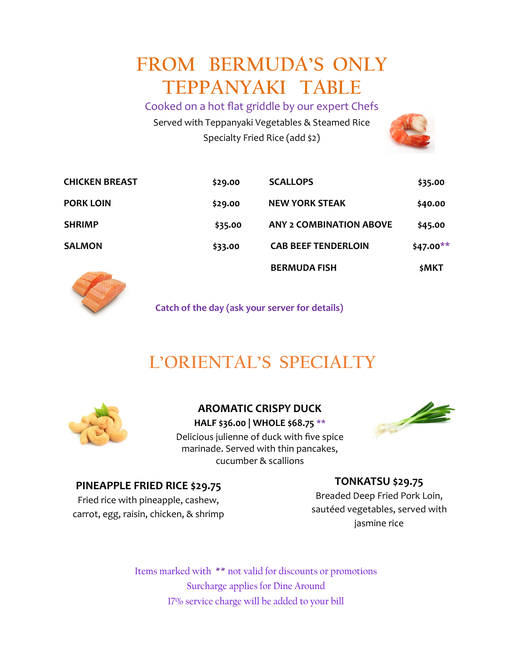# **FROM BERMUDA'S ONLY TEPPANYAKI TABLE**

Cooked on a hot flat griddle by our expert Chefs Served with Teppanyaki Vegetables & Steamed Rice Specialty Fried Rice (add \$2)



| <b>College of the College of the Col</b> |         | <b>BERMUDA FISH</b>            | \$MKT     |
|------------------------------------------|---------|--------------------------------|-----------|
| <b>SALMON</b>                            | \$33.00 | <b>CAB BEEF TENDERLOIN</b>     | \$47.00** |
| <b>SHRIMP</b>                            | \$35.00 | <b>ANY 2 COMBINATION ABOVE</b> | \$45.00   |
| <b>PORK LOIN</b>                         | \$29.00 | <b>NEW YORK STEAK</b>          | \$40.00   |
| <b>CHICKEN BREAST</b>                    | \$29.00 | <b>SCALLOPS</b>                | \$35.00   |



**Catch of the day (ask your server for details)**

## **L'ORIENTAL'S SPECIALTY**



**AROMATIC CRISPY DUCK HALF \$36.00 | WHOLE \$68.75 \*\*** Delicious julienne of duck with five spice marinade. Served with thin pancakes, cucumber & scallions



### **PINEAPPLE FRIED RICE \$29.75**

**TONKATSU \$29.75**

Fried rice with pineapple, cashew, carrot, egg, raisin, chicken, & shrimp

Breaded Deep Fried Pork Loin, sautéed vegetables, served with jasmine rice

Items marked with **\*\*** not valid for discounts or promotions Surcharge applies for Dine Around 17% service charge will be added to your bill